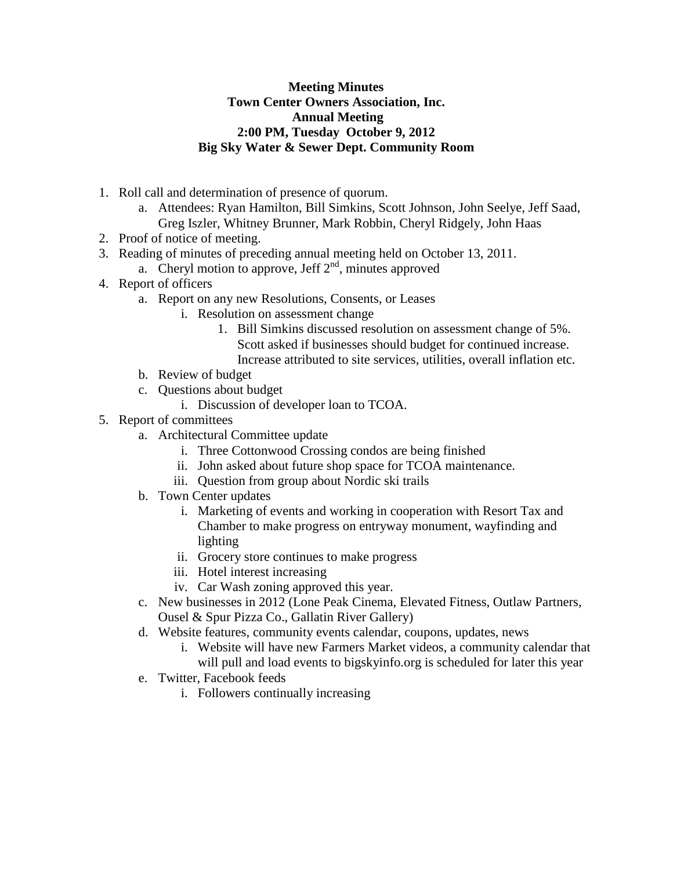## **Meeting Minutes Town Center Owners Association, Inc. Annual Meeting 2:00 PM, Tuesday October 9, 2012 Big Sky Water & Sewer Dept. Community Room**

- 1. Roll call and determination of presence of quorum.
	- a. Attendees: Ryan Hamilton, Bill Simkins, Scott Johnson, John Seelye, Jeff Saad, Greg Iszler, Whitney Brunner, Mark Robbin, Cheryl Ridgely, John Haas
- 2. Proof of notice of meeting.
- 3. Reading of minutes of preceding annual meeting held on October 13, 2011.
- a. Cheryl motion to approve, Jeff  $2<sup>nd</sup>$ , minutes approved
- 4. Report of officers
	- a. Report on any new Resolutions, Consents, or Leases
		- i. Resolution on assessment change
			- 1. Bill Simkins discussed resolution on assessment change of 5%. Scott asked if businesses should budget for continued increase. Increase attributed to site services, utilities, overall inflation etc.
	- b. Review of budget
	- c. Questions about budget
		- i. Discussion of developer loan to TCOA.
- 5. Report of committees
	- a. Architectural Committee update
		- i. Three Cottonwood Crossing condos are being finished
		- ii. John asked about future shop space for TCOA maintenance.
		- iii. Question from group about Nordic ski trails
	- b. Town Center updates
		- i. Marketing of events and working in cooperation with Resort Tax and Chamber to make progress on entryway monument, wayfinding and lighting
		- ii. Grocery store continues to make progress
		- iii. Hotel interest increasing
		- iv. Car Wash zoning approved this year.
	- c. New businesses in 2012 (Lone Peak Cinema, Elevated Fitness, Outlaw Partners, Ousel & Spur Pizza Co., Gallatin River Gallery)
	- d. Website features, community events calendar, coupons, updates, news
		- i. Website will have new Farmers Market videos, a community calendar that will pull and load events to bigskyinfo.org is scheduled for later this year
	- e. Twitter, Facebook feeds
		- i. Followers continually increasing